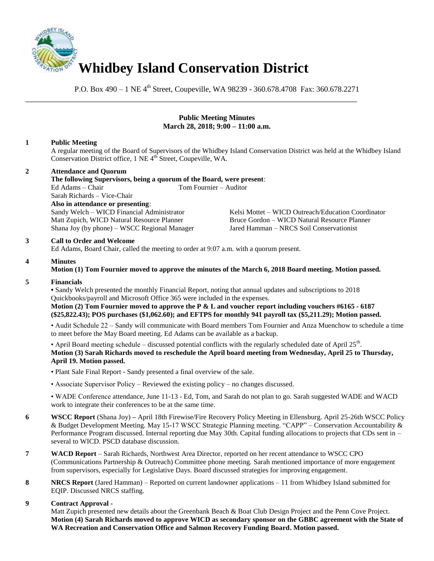

P.O. Box  $490 - 1$  NE  $4^{th}$  Street, Coupeville, WA 98239 - 360.678.4708 Fax: 360.678.2271

\_\_\_\_\_\_\_\_\_\_\_\_\_\_\_\_\_\_\_\_\_\_\_\_\_\_\_\_\_\_\_\_\_\_\_\_\_\_\_\_\_\_\_\_\_\_\_\_\_\_\_\_\_\_\_\_\_\_\_\_\_\_\_\_\_\_\_\_\_\_\_\_\_\_\_\_\_\_

### **Public Meeting Minutes March 28, 2018; 9:00 – 11:00 a.m.**

# **1 Public Meeting**

A regular meeting of the Board of Supervisors of the Whidbey Island Conservation District was held at the Whidbey Island Conservation District office, 1 NE 4<sup>th</sup> Street, Coupeville, WA.

# **2 Attendance and Quorum**

**The following Supervisors, being a quorum of the Board, were present**: Ed Adams – Chair Tom Fournier – Auditor Sarah Richards – Vice-Chair **Also in attendance or presenting**: Sandy Welch – WICD Financial Administrator Kelsi Mottet – WICD Outreach/Education Coordinator Matt Zupich, WICD Natural Resource Planner Bruce Gordon – WICD Natural Resource Planner Shana Joy (by phone) – WSCC Regional Manager Jared Hamman – NRCS Soil Conservationist

### **3 Call to Order and Welcome**

Ed Adams, Board Chair, called the meeting to order at 9:07 a.m. with a quorum present.

### **4 Minutes**

**Motion (1) Tom Fournier moved to approve the minutes of the March 6, 2018 Board meeting. Motion passed.** 

#### **5 Financials**

**•** Sandy Welch presented the monthly Financial Report, noting that annual updates and subscriptions to 2018 Quickbooks/payroll and Microsoft Office 365 were included in the expenses.

**Motion (2) Tom Fournier moved to approve the P & L and voucher report including vouchers #6165 - 6187 (\$25,822.43); POS purchases (\$1,062.60); and EFTPS for monthly 941 payroll tax (\$5,211.29); Motion passed.** 

• Audit Schedule 22 – Sandy will communicate with Board members Tom Fournier and Anza Muenchow to schedule a time to meet before the May Board meeting. Ed Adams can be available as a backup.

• April Board meeting schedule – discussed potential conflicts with the regularly scheduled date of April  $25<sup>th</sup>$ . **Motion (3) Sarah Richards moved to reschedule the April board meeting from Wednesday, April 25 to Thursday, April 19. Motion passed.**

- Plant Sale Final Report Sandy presented a final overview of the sale.
- Associate Supervisor Policy Reviewed the existing policy no changes discussed.

• WADE Conference attendance, June 11-13 - Ed, Tom, and Sarah do not plan to go. Sarah suggested WADE and WACD work to integrate their conferences to be at the same time.

- **6 WSCC Report** (Shana Joy) **–** April 18th Firewise/Fire Recovery Policy Meeting in Ellensburg. April 25-26th WSCC Policy & Budget Development Meeting. May 15-17 WSCC Strategic Planning meeting. "CAPP" – Conservation Accountability & Performance Program discussed. Internal reporting due May 30th. Capital funding allocations to projects that CDs sent in – several to WICD. PSCD database discussion.
- **7 WACD Report**  Sarah Richards, Northwest Area Director, reported on her recent attendance to WSCC CPO (Communications Partnership & Outreach) Committee phone meeting. Sarah mentioned importance of more engagement from supervisors, especially for Legislative Days. Board discussed strategies for improving engagement.
- **8 NRCS Report** (Jared Hamman) Reported on current landowner applications 11 from Whidbey Island submitted for EQIP. Discussed NRCS staffing.

### **9 Contract Approval -**

Matt Zupich presented new details about the Greenbank Beach & Boat Club Design Project and the Penn Cove Project. **Motion (4) Sarah Richards moved to approve WICD as secondary sponsor on the GBBC agreement with the State of WA Recreation and Conservation Office and Salmon Recovery Funding Board. Motion passed.**